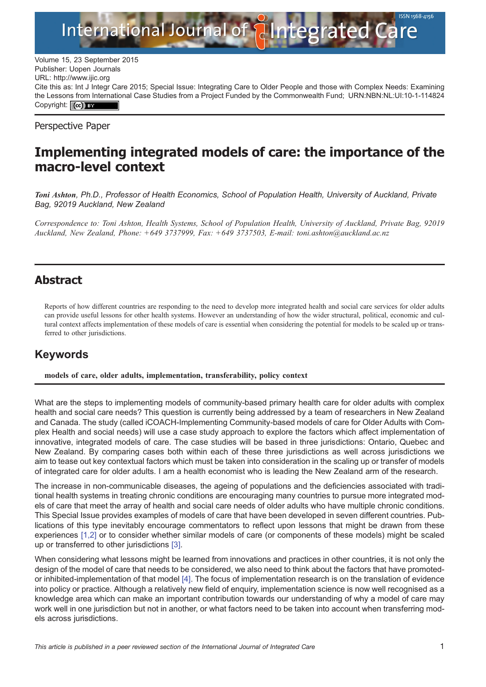

Volume 15, 23 September 2015<br>Publisher: Uopen Journals Publisher: Uopen Journals URL:<http://www.ijic.org> Cite this as: Int J Integr Care 2015; Special Issue: Integrating Care to Older People and those with Complex Needs: Examining the Lessons from International Case Studies from a Project Funded by the Commonwealth Fund; [URN:NBN:NL:UI:10-1-114824](http://persistent-identifier.nl/?identifier=URN:NBN:NL:UI:10-1-114824) Copyright: (cc) BY

Perspective Paper

## Implementing integrated models of care: the importance of the macro-level context

Toni Ashton, Ph.D., Professor of Health Economics, School of Population Health, University of Auckland, Private Bag, 92019 Auckland, New Zealand

Correspondence to: Toni Ashton, Health Systems, School of Population Health, University of Auckland, Private Bag, 92019 Auckland, New Zealand, Phone: +649 3737999, Fax: +649 3737503, E-mail: toni.ashton@auckland.ac.nz

## Abstract

Reports of how different countries are responding to the need to develop more integrated health and social care services for older adults can provide useful lessons for other health systems. However an understanding of how the wider structural, political, economic and cultural context affects implementation of these models of care is essential when considering the potential for models to be scaled up or transferred to other jurisdictions.

## Keywords

models of care, older adults, implementation, transferability, policy context

What are the steps to implementing models of community-based primary health care for older adults with complex health and social care needs? This question is currently being addressed by a team of researchers in New Zealand and Canada. The study (called iCOACH-Implementing Community-based models of care for Older Adults with Complex Health and social needs) will use a case study approach to explore the factors which affect implementation of innovative, integrated models of care. The case studies will be based in three jurisdictions: Ontario, Quebec and New Zealand. By comparing cases both within each of these three jurisdictions as well across jurisdictions we aim to tease out key contextual factors which must be taken into consideration in the scaling up or transfer of models of integrated care for older adults. I am a health economist who is leading the New Zealand arm of the research.

The increase in non-communicable diseases, the ageing of populations and the deficiencies associated with traditional health systems in treating chronic conditions are encouraging many countries to pursue more integrated models of care that meet the array of health and social care needs of older adults who have multiple chronic conditions. This Special Issue provides examples of models of care that have been developed in seven different countries. Publications of this type inevitably encourage commentators to reflect upon lessons that might be drawn from these experiences [\[1,2\]](#page-2-0) or to consider whether similar models of care (or components of these models) might be scaled up or transferred to other jurisdictions [\[3\]](#page-2-0).

When considering what lessons might be learned from innovations and practices in other countries, it is not only the design of the model of care that needs to be considered, we also need to think about the factors that have promotedor inhibited-implementation of that model [\[4\].](#page-2-0) The focus of implementation research is on the translation of evidence into policy or practice. Although a relatively new field of enquiry, implementation science is now well recognised as a knowledge area which can make an important contribution towards our understanding of why a model of care may work well in one jurisdiction but not in another, or what factors need to be taken into account when transferring models across jurisdictions.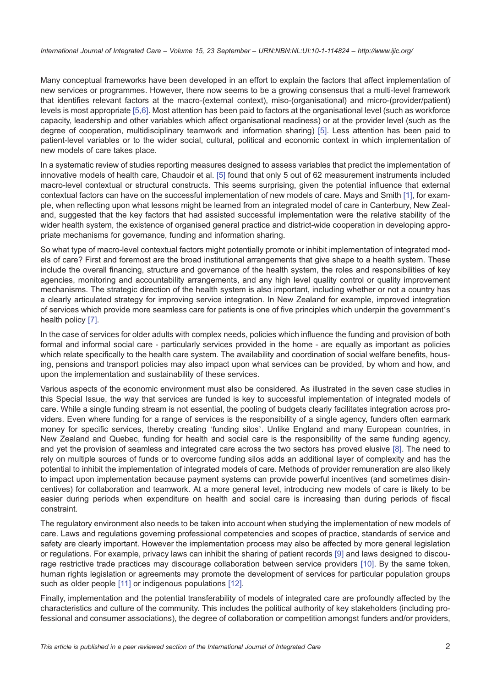Many conceptual frameworks have been developed in an effort to explain the factors that affect implementation of new services or programmes. However, there now seems to be a growing consensus that a multi-level framework that identifies relevant factors at the macro-(external context), miso-(organisational) and micro-(provider/patient) levels is most appropriate [\[5,6\].](#page-2-0) Most attention has been paid to factors at the organisational level (such as workforce capacity, leadership and other variables which affect organisational readiness) or at the provider level (such as the degree of cooperation, multidisciplinary teamwork and information sharing) [\[5\]](#page-2-0). Less attention has been paid to patient-level variables or to the wider social, cultural, political and economic context in which implementation of new models of care takes place.

In a systematic review of studies reporting measures designed to assess variables that predict the implementation of innovative models of health care, Chaudoir et al. [\[5\]](#page-2-0) found that only 5 out of 62 measurement instruments included macro-level contextual or structural constructs. This seems surprising, given the potential influence that external contextual factors can have on the successful implementation of new models of care. Mays and Smith [\[1\]](#page-2-0), for example, when reflecting upon what lessons might be learned from an integrated model of care in Canterbury, New Zealand, suggested that the key factors that had assisted successful implementation were the relative stability of the wider health system, the existence of organised general practice and district-wide cooperation in developing appropriate mechanisms for governance, funding and information sharing.

So what type of macro-level contextual factors might potentially promote or inhibit implementation of integrated models of care? First and foremost are the broad institutional arrangements that give shape to a health system. These include the overall financing, structure and governance of the health system, the roles and responsibilities of key agencies, monitoring and accountability arrangements, and any high level quality control or quality improvement mechanisms. The strategic direction of the health system is also important, including whether or not a country has a clearly articulated strategy for improving service integration. In New Zealand for example, improved integration of services which provide more seamless care for patients is one of five principles which underpin the government's health policy [\[7\].](#page-2-0)

In the case of services for older adults with complex needs, policies which influence the funding and provision of both formal and informal social care - particularly services provided in the home - are equally as important as policies which relate specifically to the health care system. The availability and coordination of social welfare benefits, housing, pensions and transport policies may also impact upon what services can be provided, by whom and how, and upon the implementation and sustainability of these services.

Various aspects of the economic environment must also be considered. As illustrated in the seven case studies in this Special Issue, the way that services are funded is key to successful implementation of integrated models of care. While a single funding stream is not essential, the pooling of budgets clearly facilitates integration across providers. Even where funding for a range of services is the responsibility of a single agency, funders often earmark money for specific services, thereby creating 'funding silos'. Unlike England and many European countries, in New Zealand and Quebec, funding for health and social care is the responsibility of the same funding agency, and yet the provision of seamless and integrated care across the two sectors has proved elusive [\[8\]](#page-2-0). The need to rely on multiple sources of funds or to overcome funding silos adds an additional layer of complexity and has the potential to inhibit the implementation of integrated models of care. Methods of provider remuneration are also likely to impact upon implementation because payment systems can provide powerful incentives (and sometimes disincentives) for collaboration and teamwork. At a more general level, introducing new models of care is likely to be easier during periods when expenditure on health and social care is increasing than during periods of fiscal constraint.

The regulatory environment also needs to be taken into account when studying the implementation of new models of care. Laws and regulations governing professional competencies and scopes of practice, standards of service and safety are clearly important. However the implementation process may also be affected by more general legislation or regulations. For example, privacy laws can inhibit the sharing of patient records [\[9\]](#page-2-0) and laws designed to discourage restrictive trade practices may discourage collaboration between service providers [\[10\]](#page-2-0). By the same token, human rights legislation or agreements may promote the development of services for particular population groups such as older people [\[11\]](#page-2-0) or indigenous populations [\[12\]](#page-2-0).

Finally, implementation and the potential transferability of models of integrated care are profoundly affected by the characteristics and culture of the community. This includes the political authority of key stakeholders (including professional and consumer associations), the degree of collaboration or competition amongst funders and/or providers,